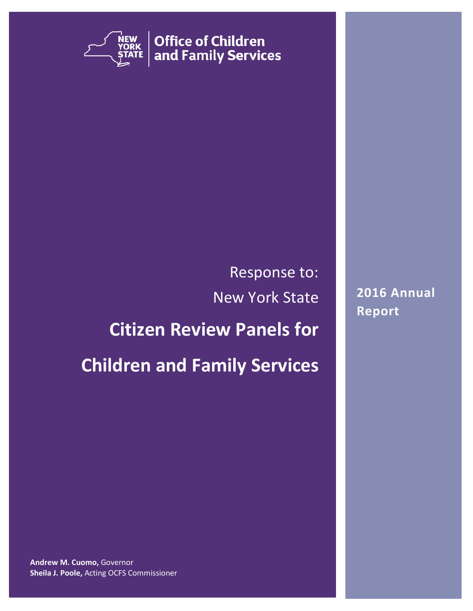

**Office of Children** and Family Services

# Response to: New York State

### **Citizen Review Panels for**

## **Children and Family Services**

**2016 Annual Report**

**Andrew M. Cuomo,** Governor **Sheila J. Poole,** Acting OCFS Commissioner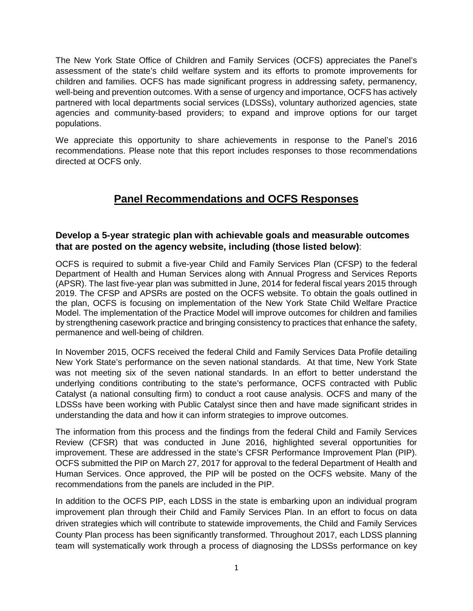The New York State Office of Children and Family Services (OCFS) appreciates the Panel's assessment of the state's child welfare system and its efforts to promote improvements for children and families. OCFS has made significant progress in addressing safety, permanency, well-being and prevention outcomes. With a sense of urgency and importance, OCFS has actively partnered with local departments social services (LDSSs), voluntary authorized agencies, state agencies and community-based providers; to expand and improve options for our target populations.

We appreciate this opportunity to share achievements in response to the Panel's 2016 recommendations. Please note that this report includes responses to those recommendations directed at OCFS only.

### **Panel Recommendations and OCFS Responses**

#### **Develop a 5-year strategic plan with achievable goals and measurable outcomes that are posted on the agency website, including (those listed below)**:

OCFS is required to submit a five-year Child and Family Services Plan (CFSP) to the federal Department of Health and Human Services along with Annual Progress and Services Reports (APSR). The last five-year plan was submitted in June, 2014 for federal fiscal years 2015 through 2019. The CFSP and APSRs are posted on the OCFS website. To obtain the goals outlined in the plan, OCFS is focusing on implementation of the New York State Child Welfare Practice Model. The implementation of the Practice Model will improve outcomes for children and families by strengthening casework practice and bringing consistency to practices that enhance the safety, permanence and well-being of children.

In November 2015, OCFS received the federal Child and Family Services Data Profile detailing New York State's performance on the seven national standards. At that time, New York State was not meeting six of the seven national standards. In an effort to better understand the underlying conditions contributing to the state's performance, OCFS contracted with Public Catalyst (a national consulting firm) to conduct a root cause analysis. OCFS and many of the LDSSs have been working with Public Catalyst since then and have made significant strides in understanding the data and how it can inform strategies to improve outcomes.

The information from this process and the findings from the federal Child and Family Services Review (CFSR) that was conducted in June 2016, highlighted several opportunities for improvement. These are addressed in the state's CFSR Performance Improvement Plan (PIP). OCFS submitted the PIP on March 27, 2017 for approval to the federal Department of Health and Human Services. Once approved, the PIP will be posted on the OCFS website. Many of the recommendations from the panels are included in the PIP.

In addition to the OCFS PIP, each LDSS in the state is embarking upon an individual program improvement plan through their Child and Family Services Plan. In an effort to focus on data driven strategies which will contribute to statewide improvements, the Child and Family Services County Plan process has been significantly transformed. Throughout 2017, each LDSS planning team will systematically work through a process of diagnosing the LDSSs performance on key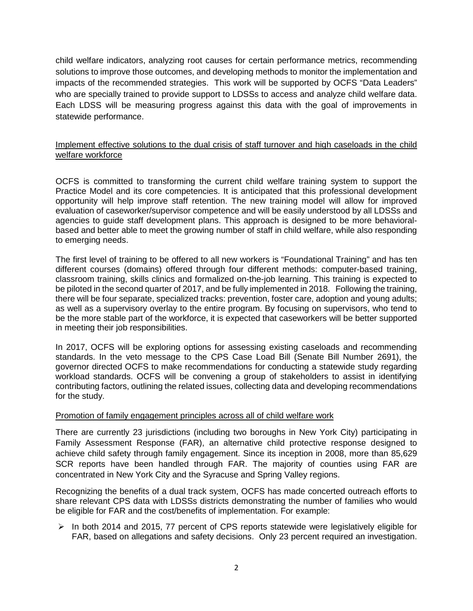child welfare indicators, analyzing root causes for certain performance metrics, recommending solutions to improve those outcomes, and developing methods to monitor the implementation and impacts of the recommended strategies. This work will be supported by OCFS "Data Leaders" who are specially trained to provide support to LDSSs to access and analyze child welfare data. Each LDSS will be measuring progress against this data with the goal of improvements in statewide performance.

#### Implement effective solutions to the dual crisis of staff turnover and high caseloads in the child welfare workforce

OCFS is committed to transforming the current child welfare training system to support the Practice Model and its core competencies. It is anticipated that this professional development opportunity will help improve staff retention. The new training model will allow for improved evaluation of caseworker/supervisor competence and will be easily understood by all LDSSs and agencies to guide staff development plans. This approach is designed to be more behavioralbased and better able to meet the growing number of staff in child welfare, while also responding to emerging needs.

The first level of training to be offered to all new workers is "Foundational Training" and has ten different courses (domains) offered through four different methods: computer-based training, classroom training, skills clinics and formalized on-the-job learning. This training is expected to be piloted in the second quarter of 2017, and be fully implemented in 2018. Following the training, there will be four separate, specialized tracks: prevention, foster care, adoption and young adults; as well as a supervisory overlay to the entire program. By focusing on supervisors, who tend to be the more stable part of the workforce, it is expected that caseworkers will be better supported in meeting their job responsibilities.

In 2017, OCFS will be exploring options for assessing existing caseloads and recommending standards. In the veto message to the CPS Case Load Bill (Senate Bill Number 2691), the governor directed OCFS to make recommendations for conducting a statewide study regarding workload standards. OCFS will be convening a group of stakeholders to assist in identifying contributing factors, outlining the related issues, collecting data and developing recommendations for the study.

#### Promotion of family engagement principles across all of child welfare work

There are currently 23 jurisdictions (including two boroughs in New York City) participating in Family Assessment Response (FAR), an alternative child protective response designed to achieve child safety through family engagement. Since its inception in 2008, more than 85,629 SCR reports have been handled through FAR. The majority of counties using FAR are concentrated in New York City and the Syracuse and Spring Valley regions.

Recognizing the benefits of a dual track system, OCFS has made concerted outreach efforts to share relevant CPS data with LDSSs districts demonstrating the number of families who would be eligible for FAR and the cost/benefits of implementation. For example:

 $\triangleright$  In both 2014 and 2015, 77 percent of CPS reports statewide were legislatively eligible for FAR, based on allegations and safety decisions. Only 23 percent required an investigation.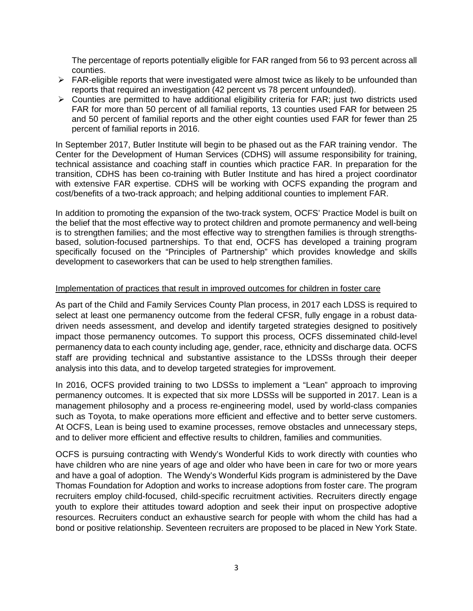The percentage of reports potentially eligible for FAR ranged from 56 to 93 percent across all counties.

- $\triangleright$  FAR-eligible reports that were investigated were almost twice as likely to be unfounded than reports that required an investigation (42 percent vs 78 percent unfounded).
- $\triangleright$  Counties are permitted to have additional eligibility criteria for FAR; just two districts used FAR for more than 50 percent of all familial reports, 13 counties used FAR for between 25 and 50 percent of familial reports and the other eight counties used FAR for fewer than 25 percent of familial reports in 2016.

In September 2017, Butler Institute will begin to be phased out as the FAR training vendor. The Center for the Development of Human Services (CDHS) will assume responsibility for training, technical assistance and coaching staff in counties which practice FAR. In preparation for the transition, CDHS has been co-training with Butler Institute and has hired a project coordinator with extensive FAR expertise. CDHS will be working with OCFS expanding the program and cost/benefits of a two-track approach; and helping additional counties to implement FAR.

In addition to promoting the expansion of the two-track system, OCFS' Practice Model is built on the belief that the most effective way to protect children and promote permanency and well-being is to strengthen families; and the most effective way to strengthen families is through strengthsbased, solution-focused partnerships. To that end, OCFS has developed a training program specifically focused on the "Principles of Partnership" which provides knowledge and skills development to caseworkers that can be used to help strengthen families.

#### Implementation of practices that result in improved outcomes for children in foster care

As part of the Child and Family Services County Plan process, in 2017 each LDSS is required to select at least one permanency outcome from the federal CFSR, fully engage in a robust datadriven needs assessment, and develop and identify targeted strategies designed to positively impact those permanency outcomes. To support this process, OCFS disseminated child-level permanency data to each county including age, gender, race, ethnicity and discharge data. OCFS staff are providing technical and substantive assistance to the LDSSs through their deeper analysis into this data, and to develop targeted strategies for improvement.

In 2016, OCFS provided training to two LDSSs to implement a "Lean" approach to improving permanency outcomes. It is expected that six more LDSSs will be supported in 2017. Lean is a management philosophy and a process re-engineering model, used by world-class companies such as Toyota, to make operations more efficient and effective and to better serve customers. At OCFS, Lean is being used to examine processes, remove obstacles and unnecessary steps, and to deliver more efficient and effective results to children, families and communities.

OCFS is pursuing contracting with Wendy's Wonderful Kids to work directly with counties who have children who are nine years of age and older who have been in care for two or more years and have a goal of adoption. The Wendy's Wonderful Kids program is administered by the Dave Thomas Foundation for Adoption and works to increase adoptions from foster care. The program recruiters employ child-focused, child-specific recruitment activities. Recruiters directly engage youth to explore their attitudes toward adoption and seek their input on prospective adoptive resources. Recruiters conduct an exhaustive search for people with whom the child has had a bond or positive relationship. Seventeen recruiters are proposed to be placed in New York State.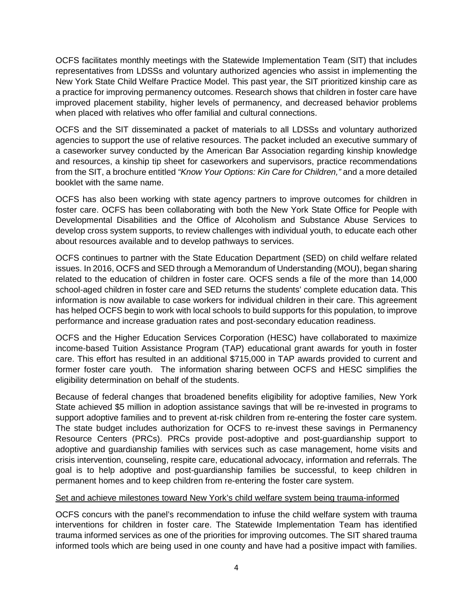OCFS facilitates monthly meetings with the Statewide Implementation Team (SIT) that includes representatives from LDSSs and voluntary authorized agencies who assist in implementing the New York State Child Welfare Practice Model. This past year, the SIT prioritized kinship care as a practice for improving permanency outcomes. Research shows that children in foster care have improved placement stability, higher levels of permanency, and decreased behavior problems when placed with relatives who offer familial and cultural connections.

OCFS and the SIT disseminated a packet of materials to all LDSSs and voluntary authorized agencies to support the use of relative resources. The packet included an executive summary of a caseworker survey conducted by the American Bar Association regarding kinship knowledge and resources, a kinship tip sheet for caseworkers and supervisors, practice recommendations from the SIT, a brochure entitled *"Know Your Options: Kin Care for Children,"* and a more detailed booklet with the same name.

OCFS has also been working with state agency partners to improve outcomes for children in foster care. OCFS has been collaborating with both the New York State Office for People with Developmental Disabilities and the Office of Alcoholism and Substance Abuse Services to develop cross system supports, to review challenges with individual youth, to educate each other about resources available and to develop pathways to services.

OCFS continues to partner with the State Education Department (SED) on child welfare related issues. In 2016, OCFS and SED through a Memorandum of Understanding (MOU), began sharing related to the education of children in foster care. OCFS sends a file of the more than 14,000 school-aged children in foster care and SED returns the students' complete education data. This information is now available to case workers for individual children in their care. This agreement has helped OCFS begin to work with local schools to build supports for this population, to improve performance and increase graduation rates and post-secondary education readiness.

OCFS and the Higher Education Services Corporation (HESC) have collaborated to maximize income-based Tuition Assistance Program (TAP) educational grant awards for youth in foster care. This effort has resulted in an additional \$715,000 in TAP awards provided to current and former foster care youth. The information sharing between OCFS and HESC simplifies the eligibility determination on behalf of the students.

Because of federal changes that broadened benefits eligibility for adoptive families, New York State achieved \$5 million in adoption assistance savings that will be re-invested in programs to support adoptive families and to prevent at-risk children from re-entering the foster care system. The state budget includes authorization for OCFS to re-invest these savings in Permanency Resource Centers (PRCs). PRCs provide post-adoptive and post-guardianship support to adoptive and guardianship families with services such as case management, home visits and crisis intervention, counseling, respite care, educational advocacy, information and referrals. The goal is to help adoptive and post-guardianship families be successful, to keep children in permanent homes and to keep children from re-entering the foster care system.

#### Set and achieve milestones toward New York's child welfare system being trauma-informed

OCFS concurs with the panel's recommendation to infuse the child welfare system with trauma interventions for children in foster care. The Statewide Implementation Team has identified trauma informed services as one of the priorities for improving outcomes. The SIT shared trauma informed tools which are being used in one county and have had a positive impact with families.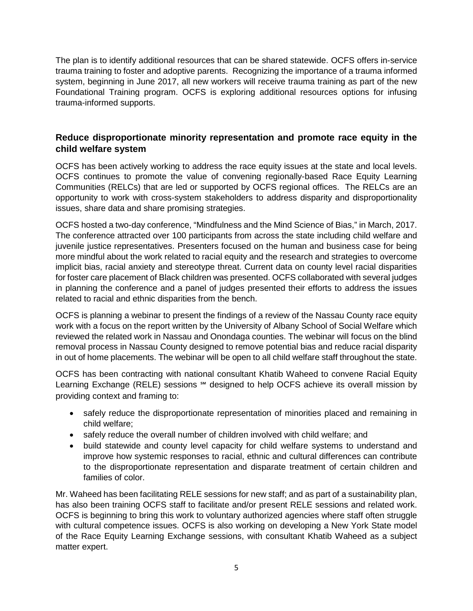The plan is to identify additional resources that can be shared statewide. OCFS offers in-service trauma training to foster and adoptive parents. Recognizing the importance of a trauma informed system, beginning in June 2017, all new workers will receive trauma training as part of the new Foundational Training program. OCFS is exploring additional resources options for infusing trauma-informed supports.

#### **Reduce disproportionate minority representation and promote race equity in the child welfare system**

OCFS has been actively working to address the race equity issues at the state and local levels. OCFS continues to promote the value of convening regionally-based Race Equity Learning Communities (RELCs) that are led or supported by OCFS regional offices. The RELCs are an opportunity to work with cross-system stakeholders to address disparity and disproportionality issues, share data and share promising strategies.

OCFS hosted a two-day conference, "Mindfulness and the Mind Science of Bias," in March, 2017. The conference attracted over 100 participants from across the state including child welfare and juvenile justice representatives. Presenters focused on the human and business case for being more mindful about the work related to racial equity and the research and strategies to overcome implicit bias, racial anxiety and stereotype threat. Current data on county level racial disparities for foster care placement of Black children was presented. OCFS collaborated with several judges in planning the conference and a panel of judges presented their efforts to address the issues related to racial and ethnic disparities from the bench.

OCFS is planning a webinar to present the findings of a review of the Nassau County race equity work with a focus on the report written by the University of Albany School of Social Welfare which reviewed the related work in Nassau and Onondaga counties. The webinar will focus on the blind removal process in Nassau County designed to remove potential bias and reduce racial disparity in out of home placements. The webinar will be open to all child welfare staff throughout the state.

OCFS has been contracting with national consultant Khatib Waheed to convene Racial Equity Learning Exchange (RELE) sessions <sup>™</sup> designed to help OCFS achieve its overall mission by providing context and framing to:

- safely reduce the disproportionate representation of minorities placed and remaining in child welfare;
- safely reduce the overall number of children involved with child welfare; and
- build statewide and county level capacity for child welfare systems to understand and improve how systemic responses to racial, ethnic and cultural differences can contribute to the disproportionate representation and disparate treatment of certain children and families of color.

Mr. Waheed has been facilitating RELE sessions for new staff; and as part of a sustainability plan, has also been training OCFS staff to facilitate and/or present RELE sessions and related work. OCFS is beginning to bring this work to voluntary authorized agencies where staff often struggle with cultural competence issues. OCFS is also working on developing a New York State model of the Race Equity Learning Exchange sessions, with consultant Khatib Waheed as a subject matter expert.